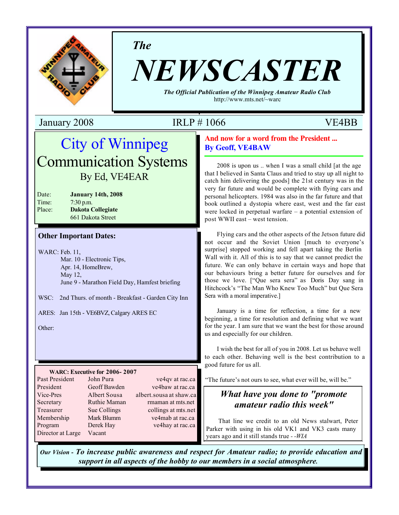

*The*

# *NEWSCASTER*

*The Official Publication of the Winnipeg Amateur Radio Club* http://www.mts.net/~warc

January 2008 IRLP # 1066 VE4BB

# City of Winnipeg Communication Systems By Ed, VE4EAR

| Date:  | <b>January 14th, 2008</b> |
|--------|---------------------------|
| Time:  | $7:30$ p.m.               |
| Place: | <b>Dakota Collegiate</b>  |
|        | 661 Dakota Street         |

### **Other Important Dates:**

WARC: Feb. 11, Mar. 10 - Electronic Tips, Apr. 14, HomeBrew, May 12, June 9 - Marathon Field Day, Hamfest briefing

WSC: 2nd Thurs. of month - Breakfast - Garden City Inn

ARES: Jan 15th - VE6BVZ, Calgary ARES EC

Other:

### **WARC: Executive for 2006- 2007**

| Past President    | John Pura    | ve4qv at rac.ca         |
|-------------------|--------------|-------------------------|
| President         | Geoff Bawden | ve4baw at rac.ca        |
| Vice-Pres         | Albert Sousa | albert.sousa at shaw.ca |
| Secretary         | Ruthie Maman | rmaman at mts.net       |
| Treasurer         | Sue Collings | collings at mts.net     |
| Membership        | Mark Blumm   | ve4mab at rac.ca        |
| Program           | Derek Hay    | ve4hay at rac.ca        |
| Director at Large | Vacant       |                         |

### **And now for a word from the President ... By Geoff, VE4BAW**

2008 is upon us .. when I was a small child [at the age that I believed in Santa Claus and tried to stay up all night to catch him delivering the goods] the 21st century was in the very far future and would be complete with flying cars and personal helicopters. 1984 was also in the far future and that book outlined a dystopia where east, west and the far east were locked in perpetual warfare – a potential extension of post WWII east – west tension.

Flying cars and the other aspects of the Jetson future did not occur and the Soviet Union [much to everyone's surprise] stopped working and fell apart taking the Berlin Wall with it. All of this is to say that we cannot predict the future. We can only behave in certain ways and hope that our behaviours bring a better future for ourselves and for those we love. ["Que sera sera" as Doris Day sang in Hitchcock's "The Man Who Knew Too Much" but Que Sera Sera with a moral imperative.]

January is a time for reflection, a time for a new beginning, a time for resolution and defining what we want for the year. I am sure that we want the best for those around us and especially for our children.

I wish the best for all of you in 2008. Let us behave well to each other. Behaving well is the best contribution to a good future for us all.

"The future's not ours to see, what ever will be, will be."

### *What have you done to "promote amateur radio this week"*

That line we credit to an old News stalwart, Peter Parker with using in his old VK1 and VK3 casts many years ago and it still stands true *- -WIA*

*Our Vision - To increase public awareness and respect for Amateur radio; to provide education and support in all aspects of the hobby to our members in a social atmosphere.*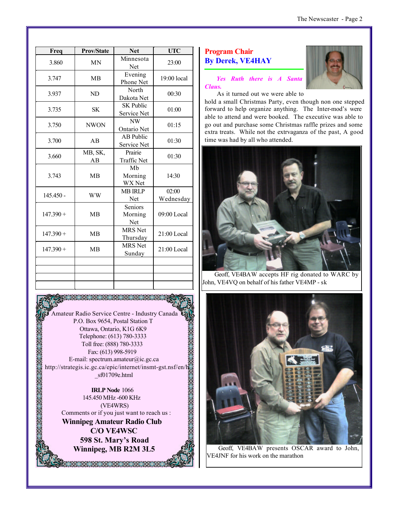| Freq        | <b>Prov/State</b> | <b>Net</b>                       | <b>UTC</b>         |
|-------------|-------------------|----------------------------------|--------------------|
| 3.860       | <b>MN</b>         | Minnesota<br>Net                 | 23:00              |
| 3.747       | <b>MB</b>         | Evening<br>Phone Net             | $19:00$ local      |
| 3.937       | ND                | North<br>Dakota Net              | 00:30              |
| 3.735       | <b>SK</b>         | <b>SK Public</b><br>Service Net  | 01:00              |
| 3.750       | <b>NWON</b>       | NW<br>Ontario Net                | 01:15              |
| 3.700       | AB                | <b>AB</b> Public<br>Service Net  | 01:30              |
| 3.660       | MB, SK,<br>AB     | Prairie<br><b>Traffic Net</b>    | 01:30              |
| 3.743       | <b>MB</b>         | Mb<br>Morning<br>WX Net          | 14:30              |
| $145.450 -$ | <b>WW</b>         | <b>MB IRLP</b><br>Net            | 02:00<br>Wednesday |
| $147.390 +$ | <b>MB</b>         | Seniors<br>Morning<br><b>Net</b> | $09:00$ Local      |
| $147.390 +$ | <b>MB</b>         | <b>MRS</b> Net<br>Thursday       | $21:00$ Local      |
| $147.390 +$ | <b>MB</b>         | <b>MRS</b> Net<br>Sunday         | $21:00$ Local      |
|             |                   |                                  |                    |
|             |                   |                                  |                    |
|             |                   |                                  |                    |



**IRLP Node** 1066 145.450 MHz -600 KHz (VE4WRS) Comments or if you just want to reach us : **Winnipeg Amateur Radio Club C/O VE4WSC 598 St. Mary's Road Winnipeg, MB R2M 3L5**

, 2008 2008 2008 2008

### **Program Chair By Derek, VE4HAY**

*Yes Ruth there is A Santa Claus.*



As it turned out we were able to

hold a small Christmas Party, even though non one stepped forward to help organize anything. The Inter-mod's were able to attend and were booked. The executive was able to go out and purchase some Christmas raffle prizes and some extra treats. While not the extrvaganza of the past, A good time was had by all who attended.



Geoff, VE4BAW accepts HF rig donated to WARC by John, VE4VQ on behalf of his father VE4MP - sk



Geoff, VE4BAW presents OSCAR award to John, VE4JNF for his work on the marathon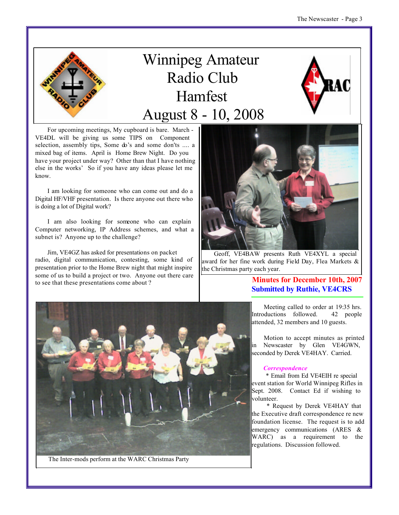

# Winnipeg Amateur Radio Club Hamfest August 8 - 10, 2008



For upcoming meetings, My cupboard is bare. March - VE4DL will be giving us some TIPS on Component selection, assembly tips, Some do's and some don'ts .... a mixed bag of items. April is Home Brew Night. Do you have your project under way? Other than that I have nothing else in the works' So if you have any ideas please let me know.

I am looking for someone who can come out and do a Digital HF/VHF presentation. Is there anyone out there who is doing a lot of Digital work?

I am also looking for someone who can explain Computer networking, IP Address schemes, and what a subnet is? Anyone up to the challenge?

Jim, VE4GZ has asked for presentations on packet radio, digital communication, contesting, some kind of presentation prior to the Home Brew night that might inspire some of us to build a project or two. Anyone out there care to see that these presentations come about ?<br> **Minutes for December 10th, 2007** 



Geoff, VE4BAW presents Ruth VE4XYL a special award for her fine work during Field Day, Flea Markets & the Christmas party each year.

# **Submitted by Ruthie, VE4CRS**



The Inter-mods perform at the WARC Christmas Party

Meeting called to order at 19:35 hrs. Introductions followed. 42 people attended, 32 members and 10 guests.

Motion to accept minutes as printed in Newscaster by Glen VE4GWN, seconded by Derek VE4HAY. Carried.

### *Correspondence*

 \* Email from Ed VE4EIH re special event station for World Winnipeg Rifles in Sept. 2008. Contact Ed if wishing to volunteer.

 \* Request by Derek VE4HAY that the Executive draft correspondence re new foundation license. The request is to add emergency communications (ARES & WARC) as a requirement to the regulations. Discussion followed.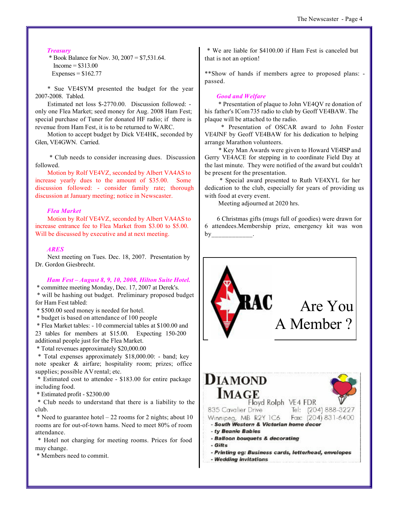### *Treasury*

 \* Book Balance for Nov. 30, 2007 = \$7,531.64.  $Income = $313.00$ Expenses =  $$162.77$ 

\* Sue VE4SYM presented the budget for the year 2007-2008. Tabled.

Estimated net loss \$-2770.00. Discussion followed: only one Flea Market; seed money for Aug. 2008 Ham Fest; special purchase of Tuner for donated HF radio; if there is revenue from Ham Fest, it is to be returned to WARC.

Motion to accept budget by Dick VE4HK, seconded by Glen, VE4GWN. Carried.

 \* Club needs to consider increasing dues. Discussion followed.

Motion by Rolf VE4VZ, seconded by Albert VA4AS to increase yearly dues to the amount of \$35.00. Some discussion followed: - consider family rate; thorough discussion at January meeting; notice in Newscaster.

### *Flea Market*

Motion by Rolf VE4VZ, seconded by Albert VA4AS to increase entrance fee to Flea Market from \$3.00 to \$5.00. Will be discussed by executive and at next meeting.

### *ARES*

Next meeting on Tues. Dec. 18, 2007. Presentation by Dr. Gordon Giesbrecht.

### *Ham Fest – August 8, 9, 10, 2008, Hilton Suite Hotel.*

 \* committee meeting Monday, Dec. 17, 2007 at Derek's. \* will be hashing out budget. Preliminary proposed budget for Ham Fest tabled:

\* \$500.00 seed money is needed for hotel.

\* budget is based on attendance of 100 people

 \* Flea Market tables: - 10 commercial tables at \$100.00 and 23 tables for members at \$15.00. Expecting 150-200 additional people just for the Flea Market.

\* Total revenues approximately \$20,000.00

 \* Total expenses approximately \$18,000.00: - band; key note speaker & airfare; hospitality room; prizes; office supplies; possible AV rental; etc.

 \* Estimated cost to attendee - \$183.00 for entire package including food.

\* Estimated profit - \$2300.00

 \* Club needs to understand that there is a liability to the club.

\* Need to guarantee hotel  $-22$  rooms for 2 nights; about 10 rooms are for out-of-town hams. Need to meet 80% of room attendance.

 \* Hotel not charging for meeting rooms. Prices for food may change.

\* Members need to commit.

 \* We are liable for \$4100.00 if Ham Fest is canceled but that is not an option!

\*\*Show of hands if members agree to proposed plans: passed.

### *Good and Welfare*

 \* Presentation of plaque to John VE4QV re donation of his father's ICom 735 radio to club by Geoff VE4BAW. The plaque will be attached to the radio.

 \* Presentation of OSCAR award to John Foster VE4JNF by Geoff VE4BAW for his dedication to helping arrange Marathon volunteers.

 \* Key Man Awards were given to Howard VE4ISP and Gerry VE4ACE for stepping in to coordinate Field Day at the last minute. They were notified of the award but couldn't be present for the presentation.

 \* Special award presented to Ruth VE4XYL for her dedication to the club, especially for years of providing us with food at every event.

Meeting adjourned at 2020 hrs.

6 Christmas gifts (mugs full of goodies) were drawn for 6 attendees.Membership prize, emergency kit was won  $by$ 

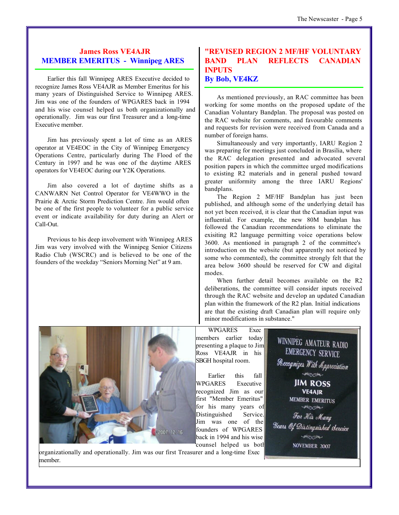### **James Ross VE4AJR MEMBER EMERITUS - Winnipeg ARES**

Earlier this fall Winnipeg ARES Executive decided to recognize James Ross VE4AJR as Member Emeritus for his many years of Distinguished Service to Winnipeg ARES. Jim was one of the founders of WPGARES back in 1994 and his wise counsel helped us both organizationally and operationally. Jim was our first Treasurer and a long-time Executive member.

Jim has previously spent a lot of time as an ARES operator at VE4EOC in the City of Winnipeg Emergency Operations Centre, particularly during The Flood of the Century in 1997 and he was one of the daytime ARES operators for VE4EOC during our Y2K Operations.

Jim also covered a lot of daytime shifts as a CANWARN Net Control Operator for VE4WWO in the Prairie & Arctic Storm Prediction Centre. Jim would often be one of the first people to volunteer for a public service event or indicate availability for duty during an Alert or Call-Out.

Previous to his deep involvement with Winnipeg ARES Jim was very involved with the Winnipeg Senior Citizens Radio Club (WSCRC) and is believed to be one of the founders of the weekday "Seniors Morning Net" at 9 am.

### **"REVISED REGION 2 MF/HF VOLUNTARY BAND PLAN REFLECTS CANADIAN INPUTS By Bob, VE4KZ**

As mentioned previously, an RAC committee has been working for some months on the proposed update of the Canadian Voluntary Bandplan. The proposal was posted on the RAC website for comments, and favourable comments and requests for revision were received from Canada and a number of foreign hams.

Simultaneously and very importantly, IARU Region 2 was preparing for meetings just concluded in Brasilia, where the RAC delegation presented and advocated several position papers in which the committee urged modifications to existing R2 materials and in general pushed toward greater uniformity among the three IARU Regions' bandplans.

The Region 2 MF/HF Bandplan has just been published, and although some of the underlying detail has not yet been received, it is clear that the Canadian input was influential. For example, the new 80M bandplan has followed the Canadian recommendations to eliminate the exisiting R2 language permitting voice operations below 3600. As mentioned in paragraph 2 of the committee's introduction on the website (but apparently not noticed by some who commented), the committee strongly felt that the area below 3600 should be reserved for CW and digital modes.

When further detail becomes available on the R2 deliberations, the committee will consider inputs received through the RAC website and develop an updated Canadian plan within the framework of the R2 plan. Initial indications are that the existing draft Canadian plan will require only minor modifications in substance."

2007.12.16

WPGARES Exec members earlier today presenting a plaque to Jim Ross VE4AJR in his SBGH hospital room.

Earlier this fall WPGARES Executive recognized Jim as our first "Member Emeritus" for his many years of Distinguished Service. Jim was one of the founders of WPGARES back in 1994 and his wise counsel helped us both



organizationally and operationally. Jim was our first Treasurer and a long-time Exec member.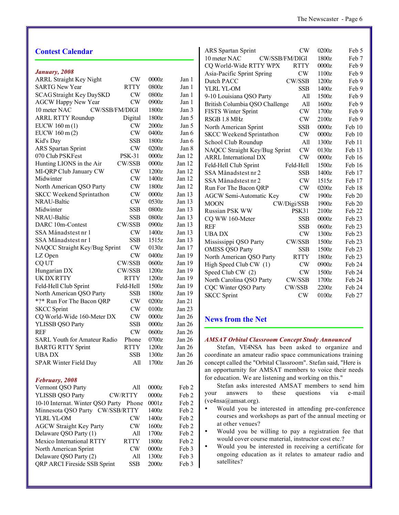| <b>Contest Calendar</b>                                   |         |          | <b>CW</b><br>0200z<br><b>ARS</b> Spartan Sprint<br>Feb 5            |
|-----------------------------------------------------------|---------|----------|---------------------------------------------------------------------|
|                                                           |         |          | 10 meter NAC<br>CW/SSB/FM/DIGI<br>1800z<br>Feb 7                    |
|                                                           |         |          | CQ World-Wide RTTY WPX<br>$0000z$<br><b>RTTY</b><br>Feb 9           |
| January, 2008<br><b>CW</b>                                | 0000z   | Jan 1    | $\mathrm{CW}$<br>1100z<br>Asia-Pacific Sprint Spring<br>Feb 9       |
| <b>ARRL Straight Key Night</b><br><b>SARTG New Year</b>   | 0800z   |          | Dutch PACC<br>CW/SSB<br>1200z<br>Feb 9                              |
| <b>RTTY</b>                                               |         | Jan 1    | <b>SSB</b><br>1400z<br>YLRL YL-OM<br>Feb 9                          |
| <b>CW</b><br><b>SCAG Straight Key DaySKD</b><br><b>CW</b> | 0800z   | Jan 1    | 1500z<br>Feb 9<br>9-10 Louisiana QSO Party<br>All                   |
| <b>AGCW Happy New Year</b><br>CW/SSB/FM/DIGI              | 0900z   | Jan 1    | 1600z<br>British Columbia QSO Challenge<br>All<br>Feb 9             |
| 10 meter NAC                                              | 1800z   | Jan 3    | <b>CW</b><br>1700z<br>FISTS Winter Sprint<br>Feb 9                  |
| <b>ARRL RTTY Roundup</b><br>Digital                       | 1800z   | Jan 5    | RSGB 1.8 MHz<br><b>CW</b><br>2100z<br>Feb 9                         |
| EUCW $160 \text{ m} (1)$<br><b>CW</b>                     | 2000z   | Jan 5    | <b>SSB</b><br>0000z<br>Feb 10<br>North American Sprint              |
| CW<br>EUCW 160 m (2)                                      | 0400z   | Jan 6    | <b>CW</b><br><b>SKCC Weekend Sprintathon</b><br>0000z<br>Feb 10     |
| <b>SSB</b><br>Kid's Day                                   | 1800z   | Jan 6    | All<br>1300z<br>Feb 11<br>School Club Roundup                       |
| <b>CW</b><br>ARS Spartan Sprint                           | 0200z   | Jan 8    | <b>CW</b><br>NAQCC Straight Key/Bug Sprint<br>0130z<br>Feb 13       |
| 070 Club PSKFest<br><b>PSK-31</b>                         | 0000z   | Jan 12   | <b>ARRL</b> International DX<br><b>CW</b><br>$0000z$<br>Feb 16      |
| CW/SSB<br>Hunting LIONS in the Air                        | 0000z   | Jan 12   | Feld-Hell Club Sprint<br>1500z<br>Feb 16<br>Feld-Hell               |
| <b>CW</b><br>MI-QRP Club January CW                       | 1200z   | Jan $12$ | SSA Månadstest nr 2<br><b>SSB</b><br>1400z<br>Feb 17                |
| <b>CW</b><br>Midwinter                                    | 1400z   | Jan 12   | SSA Månadstest nr 2<br><b>CW</b><br>1515z<br>Feb 17                 |
| <b>CW</b><br>North American QSO Party                     | 1800z   | Jan 12   | <b>CW</b><br>0200z<br>Feb 18<br>Run For The Bacon QRP               |
| <b>CW</b><br><b>SKCC Weekend Sprintathon</b>              | $0000z$ | Jan 13   | <b>CW</b><br>1900z<br>Feb 20<br><b>AGCW Semi-Automatic Key</b>      |
| <b>CW</b><br>NRAU-Baltic                                  | 0530z   | Jan 13   | <b>MOON</b><br>1900z<br>Feb 20<br>CW/Digi/SSB                       |
| <b>SSB</b><br>Midwinter                                   | 0800z   | Jan 13   | Russian PSK WW<br>PSK31<br>Feb 22<br>2100z                          |
| <b>SSB</b><br>NRAU-Baltic                                 | 0800z   | Jan $13$ | CQ WW 160-Meter<br><b>SSB</b><br>$0000z$<br>Feb 23                  |
| CW/SSB<br>DARC 10m-Contest                                | 0900z   | Jan 13   | <b>REF</b><br><b>SSB</b><br>0600z<br>Feb 23                         |
| SSA Månadstest nr 1<br><b>CW</b>                          | 1400z   | Jan 13   | <b>CW</b><br>1300z<br>Feb 23<br><b>UBADX</b>                        |
| <b>SSB</b><br>SSA Månadstest nr 1                         | 1515z   | Jan 13   | CW/SSB<br>1500z<br>Feb 23<br>Mississippi QSO Party                  |
| CW<br>NAQCC Straight Key/Bug Sprint                       | 0130z   | Jan 17   | <b>SSB</b><br><b>OMISS QSO Party</b><br>1500z<br>Feb 23             |
| <b>CW</b><br>LZ Open                                      | 0400z   | Jan 19   | North American QSO Party<br><b>RTTY</b><br>1800z<br>Feb 23          |
| CW/SSB<br>CQ UT                                           | 0600z   | Jan $19$ | High Speed Club CW (1)<br><b>CW</b><br>0900z<br>Feb 24              |
| CW/SSB<br>Hungarian DX                                    | 1200z   | Jan $19$ | Speed Club CW (2)<br><b>CW</b><br>1500z<br>Feb 24                   |
| <b>RTTY</b><br>UK DX RTTY                                 | 1200z   | Jan 19   | CW/SSB<br>North Carolina QSO Party<br>1700z<br>Feb 24               |
| Feld-Hell Club Sprint<br>Feld-Hell                        | 1500z   | Jan 19   | Feb 24<br>CQC Winter QSO Party<br>CW/SSB<br>2200z                   |
| <b>SSB</b><br>North American QSO Party                    | 1800z   | Jan 19   | <b>SKCC</b> Sprint<br><b>CW</b><br>0100z<br>Feb 27                  |
| <b>CW</b><br>*?* Run For The Bacon QRP                    | 0200z   | Jan 21   |                                                                     |
| <b>CW</b><br><b>SKCC</b> Sprint                           | 0100z   | Jan 23   |                                                                     |
| <b>CW</b><br>CQ World-Wide 160-Meter DX                   | 0000z   | Jan 26   | <b>News from the Net</b>                                            |
| <b>SSB</b><br>YLISSB QSO Party                            | 0000z   | Jan 26   |                                                                     |
| <b>CW</b><br><b>REF</b>                                   | 0600z   | Jan 26   |                                                                     |
| SARL Youth for Amateur Radio<br>Phone                     | 0700z   | Jan 26   | <b>AMSAT Orbital Classroom Concept Study Announced</b>              |
| <b>BARTG RTTY Sprint</b><br><b>RTTY</b>                   | 1200z   | Jan $26$ | Stefan, VE4NSA has been asked to organize and                       |
| <b>SSB</b><br><b>UBADX</b>                                | 1300z   | Jan $26$ | coordinate an amateur radio space communications training           |
| SPAR Winter Field Day<br>All                              | 1700z   | Jan 26   | concept called the "Orbital Classroom". Stefan said, "Here is       |
|                                                           |         |          | an opporturnity for AMSAT members to voice their needs              |
| February, 2008                                            |         |          | for education. We are listening and working on this."               |
| Vermont QSO Party<br>All                                  | 0000z   | Feb 2    | Stefan asks interested AMSAT members to send him                    |
| <b>YLISSB QSO Party</b><br>CW/RTTY                        | $0000z$ | Feb 2    | these<br>questions<br>via<br>e-mail<br>answers<br>to<br>your        |
| 10-10 Internat. Winter QSO Party Phone                    | 0001z   | Feb 2    | (ve4nsa@amsat.org).                                                 |
| Minnesota QSO Party CW/SSB/RTTY                           | 1400z   | Feb 2    | Would you be interested in attending pre-conference<br>$\bullet$    |
| YLRL YL-OM<br><b>CW</b>                                   | 1400z   | Feb 2    | courses and workshops as part of the annual meeting or              |
| <b>AGCW Straight Key Party</b><br>$\mathrm{CW}$           | 1600z   | Feb 2    | at other venues?                                                    |
| Delaware QSO Party (1)<br>All                             | 1700z   | Feb 2    | Would you be willing to pay a registration fee that<br>$\bullet$    |
| Mexico International RTTY<br><b>RTTY</b>                  | 1800z   | Feb 2    | would cover course material, instructor cost etc.?                  |
| North American Sprint<br><b>CW</b>                        | $0000z$ | Feb 3    | Would you be interested in receiving a certificate for<br>$\bullet$ |
| Delaware QSO Party (2)<br>All                             | 1300z   | Feb 3    | ongoing education as it relates to amateur radio and                |
| QRP ARCI Fireside SSB Sprint<br><b>SSB</b>                | 2000z   | Feb 3    | satellites?                                                         |
|                                                           |         |          |                                                                     |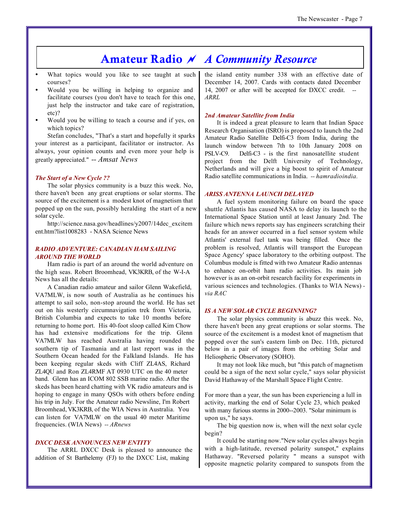## **Amateur Radio** *~ A Community Resource*

- What topics would you like to see taught at such courses?
- Would you be willing in helping to organize and facilitate courses (you don't have to teach for this one, just help the instructor and take care of registration, etc)?
- Would you be willing to teach a course and if yes, on which topics?

Stefan concludes, "That's a start and hopefully it sparks your interest as a participant, facilitator or instructor. As always, your opinion counts and even more your help is greatly appreciated." *-- Amsat News*

### *The Start of a New Cycle ??*

The solar physics community is a buzz this week. No, there haven't been any great eruptions or solar storms. The source of the excitement is a modest knot of magnetism that popped up on the sun, possibly heralding the start of a new solar cycle.

http://science.nasa.gov/headlines/y2007/14dec\_excitem ent.htm?list1008283 - NASA Science News

### *RADIO ADVENTURE: CANADIAN HAM SAILING AROUND THE WORLD*

Ham radio is part of an around the world adventure on the high seas. Robert Broomhead, VK3KRB, of the W-I-A News has all the details:

A Canadian radio amateur and sailor Glenn Wakefield, VA7MLW, is now south of Australia as he continues his attempt to sail solo, non-stop around the world. He has set out on his westerly circumnavigation trek from Victoria, British Columbia and expects to take 10 months before returning to home port. His 40-foot sloop called Kim Chow has had extensive modifications for the trip. Glenn VA7MLW has reached Australia having rounded the southern tip of Tasmania and at last report was in the Southern Ocean headed for the Falkland Islands. He has been keeping regular skeds with Cliff ZL4AS, Richard ZL4QU and Ron ZL4RMF AT 0930 UTC on the 40 meter band. Glenn has an ICOM 802 SSB marine radio. After the skeds has been heard chatting with VK radio amateurs and is hoping to engage in many QSOs with others before ending his trip in July. For the Amateur radio Newsline, I'm Robert Broomhead, VK3KRB, of the WIA News in Australia. You can listen for VA7MLW on the usual 40 meter Maritime frequencies. (WIA News) *-- ARnews*

### *DXCC DESK ANNOUNCES NEW ENTITY*

The ARRL DXCC Desk is pleased to announce the addition of St Barthelemy (FJ) to the DXCC List, making

the island entity number 338 with an effective date of December 14, 2007. Cards with contacts dated December 14, 2007 or after will be accepted for DXCC credit. *-- ARRL*

### *2nd Amateur Satellite from India*

It is indeed a great pleasure to learn that Indian Space Research Organisation (ISRO) is proposed to launch the 2nd Amateur Radio Satellite Delfi-C3 from India, during the launch window between 7th to 10th January 2008 on PSLV-C9. Delfi-C3 - is the first nanosatellite student project from the Delft University of Technology, Netherlands and will give a big boost to spirit of Amateur Radio satellite communications in India. *-- hamradioindia.*

### *ARISS ANTENNA LAUNCH DELAYED*

A fuel system monitoring failure on board the space shuttle Atlantis has caused NASA to delay its launch to the International Space Station until at least January 2nd. The failure which news reports say has engineers scratching their heads for an answer occurred in a fuel sensor system while Atlantis' external fuel tank was being filled. Once the problem is resolved, Atlantis will transport the European Space Agency' space laboratory to the orbiting outpost. The Columbus module is fitted with two Amateur Radio antennas to enhance on-orbit ham radio activities. Its main job however is as an on-orbit research facility for experiments in various sciences and technologies. (Thanks to WIA News) *via RAC*

### *IS A NEW SOLAR CYCLE BEGINNING?*

The solar physics community is abuzz this week. No, there haven't been any great eruptions or solar storms. The source of the excitement is a modest knot of magnetism that popped over the sun's eastern limb on Dec. 11th, pictured below in a pair of images from the orbiting Solar and Heliospheric Observatory (SOHO).

It may not look like much, but "this patch of magnetism could be a sign of the next solar cycle," says solar physicist David Hathaway of the Marshall Space Flight Centre.

For more than a year, the sun has been experiencing a lull in activity, marking the end of Solar Cycle 23, which peaked with many furious storms in 2000--2003. "Solar minimum is upon us," he says.

The big question now is, when will the next solar cycle begin?

It could be starting now."New solar cycles always begin with a high-latitude, reversed polarity sunspot," explains Hathaway. "Reversed polarity " means a sunspot with opposite magnetic polarity compared to sunspots from the